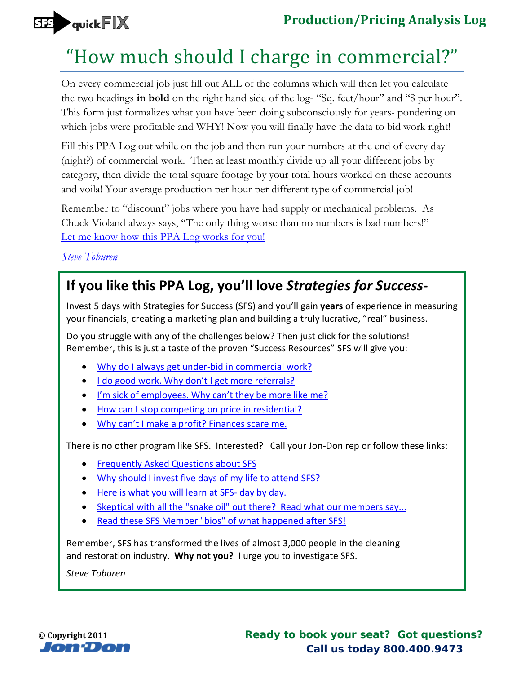

## **Production/Pricing Analysis Log**

## "How much should I charge in commercial?"

On every commercial job just fill out ALL of the columns which will then let you calculate the two headings **in bold** on the right hand side of the log- "Sq. feet/hour" and "\$ per hour". This form just formalizes what you have been doing subconsciously for years- pondering on which jobs were profitable and WHY! Now you will finally have the data to bid work right!

Fill this PPA Log out while on the job and then run your numbers at the end of every day (night?) of commercial work. Then at least monthly divide up all your different jobs by category, then divide the total square footage by your total hours worked on these accounts and voila! Your average production per hour per different type of commercial job!

Remember to "discount" jobs where you have had supply or mechanical problems. As Chuck Violand always says, "The only thing worse than no numbers is bad numbers!" Let me know how this PPA Log works for you!

*[Steve Toburen](http://sfs.jondon.com/10889/resources/paperwork/commercial-productionpricing-analysis-log#respond)*

## **[If you lik](http://sfs.jondon.com/about/sfs-team/steve?utm_source=rep&utm_medium=pdf&utm_campaign=sr268pp)e this PPA Log, you'll love** *Strategies for Success***-**

Invest 5 days with Strategies for Success (SFS) and you'll gain **years** of experience in measuring your financials, creating a marketing plan and building a truly lucrative, "real" business.

Do you struggle with any of the challenges below? Then just click for the solutions! Remember, this is just a taste of the proven "Success Resources" SFS will give you:

- Why do I always get under-bid in commercial work?
- I do good work. Why don't I get more referrals?
- [I'm sick of employees. Why can't they be more lik](http://sfs.jondon.com/10884/resources/paperwork/moment-of-truth-residential-carpet-cleaning-checklist?utm_source=rep&utm_medium=pdf&utm_campaign=sr268pp)e me?
- [How can I stop competing on price in residential?](http://sfs.jondon.com/3003/resources/paperwork/procedure-initial-value-added-service-pre-training?utm_source=rep&utm_medium=pdf&utm_campaign=sr268pp)
- [Why can't I make a profit? Finances scare me.](http://sfs.jondon.com/1750/resources/special-reports/using-a-telephone-format?utm_source=rep&utm_medium=pdf&utm_campaign=sr268pp)

There i[s no other program like SFS. Interested? Call y](http://sfs.jondon.com/1917/resources/paperwork/weekly-financial-flash-report?utm_source=rep&utm_medium=pdf&utm_campaign=sr268pp)our Jon-Don rep or follow these links:

- Frequently Asked Questions about SFS
- [Why should I invest five days of my life](http://sfs.jondon.com/about/faqs?utm_source=rep&utm_medium=pdf&utm_campaign=sr268pp) to attend SFS?
- [Here is what you will learn at SFS- day by day.](http://sfs.jondon.com/about/why-sfs?utm_source=rep&utm_medium=pdf&utm_campaign=sr268pp)
- [Skeptical with all the "snake oil" out there? Re](http://sfs.jondon.com/about/sfs-seminar-curriculum?utm_source=rep&utm_medium=pdf&utm_campaign=sr268pp)ad what our members say...
- [Read these SFS Member "bios" of what happened after SFS!](http://sfs.jondon.com/about/testimonials?utm_source=rep&utm_medium=pdf&utm_campaign=sr268pp)

Reme[mber, SFS has transformed the lives of almost 3,000 people in](http://sfs.jondon.com/3794/reviews/success-stories/dir-success-stories?utm_source=rep&utm_medium=pdf&utm_campaign=sr268pp) the cleaning and restoration industry. **Why not you?** I urge you to investigate SFS.

*Steve Toburen*